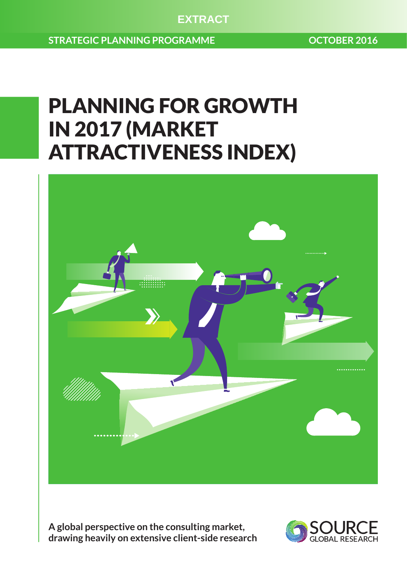**EXTRACT**

**STRATEGIC PLANNING PROGRAMME CONTRACTS OCTOBER 2016** 

# PLANNING FOR GROWTH IN 2017 (MARKET ATTRACTIVENESS INDEX)



**A global perspective on the consulting market, drawing heavily on extensive client-side research**

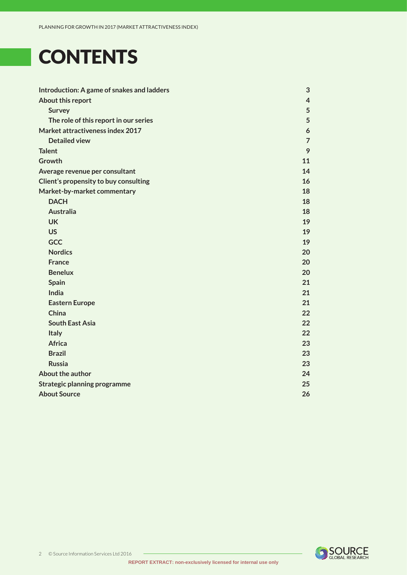# <span id="page-1-0"></span>**CONTENTS**

| Introduction: A game of snakes and ladders | 3              |
|--------------------------------------------|----------------|
| About this report                          | $\overline{4}$ |
| <b>Survey</b>                              | 5              |
| The role of this report in our series      | 5              |
| Market attractiveness index 2017           | 6              |
| <b>Detailed view</b>                       | $\overline{7}$ |
| <b>Talent</b>                              | 9              |
| Growth                                     | 11             |
| Average revenue per consultant             | 14             |
| Client's propensity to buy consulting      | 16             |
| Market-by-market commentary                | 18             |
| <b>DACH</b>                                | 18             |
| <b>Australia</b>                           | 18             |
| <b>UK</b>                                  | 19             |
| <b>US</b>                                  | 19             |
| <b>GCC</b>                                 | 19             |
| <b>Nordics</b>                             | 20             |
| <b>France</b>                              | 20             |
| <b>Benelux</b>                             | 20             |
| <b>Spain</b>                               | 21             |
| India                                      | 21             |
| <b>Eastern Europe</b>                      | 21             |
| China                                      | 22             |
| <b>South East Asia</b>                     | 22             |
| <b>Italy</b>                               | 22             |
| <b>Africa</b>                              | 23             |
| <b>Brazil</b>                              | 23             |
| <b>Russia</b>                              | 23             |
| About the author                           | 24             |
| <b>Strategic planning programme</b>        | 25             |
| <b>About Source</b>                        | 26             |

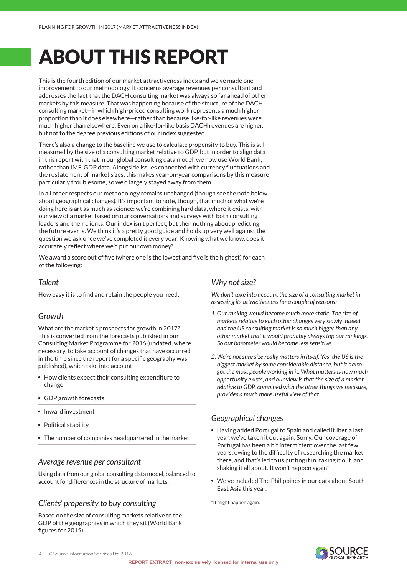# <span id="page-2-0"></span>ABOUT THIS REPORT

This is the fourth edition of our market attractiveness index and we've made one improvement to our methodology. It concerns average revenues per consultant and addresses the fact that the DACH consulting market was always so far ahead of other markets by this measure. That was happening because of the structure of the DACH consulting market—in which high-priced consulting work represents a much higher proportion than it does elsewhere—rather than because like-for-like revenues were much higher than elsewhere. Even on a like-for-like basis DACH revenues are higher, but not to the degree previous editions of our index suggested.

There's also a change to the baseline we use to calculate propensity to buy. This is still measured by the size of a consulting market relative to GDP, but in order to align data in this report with that in our global consulting data model, we now use World Bank, rather than IMF, GDP data. Alongside issues connected with currency fluctuations and the restatement of market sizes, this makes year-on-year comparisons by this measure particularly troublesome, so we'd largely stayed away from them.

In all other respects our methodology remains unchanged (though see the note below about geographical changes). It's important to note, though, that much of what we're doing here is art as much as science: we're combining hard data, where it exists, with our view of a market based on our conversations and surveys with both consulting leaders and their clients. Our index isn't perfect, but then nothing about predicting the future ever is. We think it's a pretty good guide and holds up very well against the question we ask once we've completed it every year: Knowing what we know, does it accurately reflect where we'd put our own money?

We award a score out of five (where one is the lowest and five is the highest) for each of the following:

#### *Talent*

How easy it is to find and retain the people you need.

#### *Growth*

What are the market's prospects for growth in 2017? This is converted from the forecasts published in our Consulting Market Programme for 2016 (updated, where necessary, to take account of changes that have occurred in the time since the report for a specific geography was published), which take into account:

- How clients expect their consulting expenditure to change
- GDP growth forecasts
- Inward investment
- Political stability
- The number of companies headquartered in the market

#### *Average revenue per consultant*

Using data from our global consulting data model, balanced to account for differences in the structure of markets.

#### *Clients' propensity to buy consulting*

Based on the size of consulting markets relative to the GDP of the geographies in which they sit (World Bank figures for 2015).

#### *Why not size?*

*We don't take into account the size of a consulting market in assessing its attractiveness for a couple of reasons:*

- *1.Our ranking would become much more static: The size of markets relative to each other changes very slowly indeed, and the US consulting market is so much bigger than any other market that it would probably always top our rankings. So our barometer would become less sensitive.*
- *2.We're not sure size really matters in itself. Yes, the US is the biggest market by some considerable distance, but it's also got the most people working in it. What matters is how much opportunity exists, and our view is that the size of a market relative to GDP, combined with the other things we measure, provides a much more useful view of that.*

#### *Geographical changes*

- Having added Portugal to Spain and called it Iberia last year, we've taken it out again. Sorry. Our coverage of Portugal has been a bit intermittent over the last few years, owing to the difficulty of researching the market there, and that's led to us putting it in, taking it out, and shaking it all about. It won't happen again\*
- We've included The Philippines in our data about South-East Asia this year.

\*It might happen again.

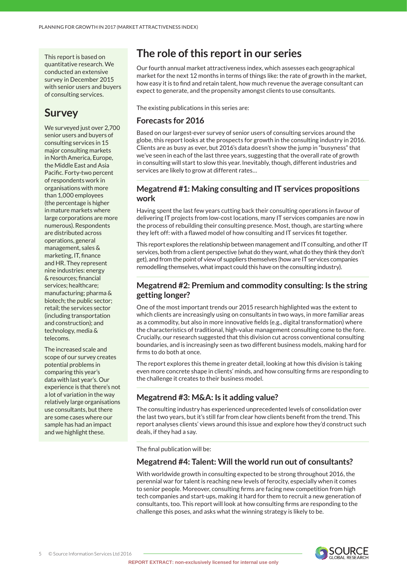<span id="page-3-0"></span>This report is based on quantitative research. We conducted an extensive survey in December 2015 with senior users and buyers of consulting services.

### **Survey**

We surveyed just over 2,700 senior users and buyers of consulting services in 15 major consulting markets in North America, Europe, the Middle East and Asia Pacific. Forty-two percent of respondents work in organisations with more than 1,000 employees (the percentage is higher in mature markets where large corporations are more numerous). Respondents are distributed across operations, general management, sales & marketing, IT, finance and HR. They represent nine industries: energy & resources; financial services; healthcare; manufacturing; pharma & biotech; the public sector; retail; the services sector (including transportation and construction); and technology, media & telecoms.

The increased scale and scope of our survey creates potential problems in comparing this year's data with last year's. Our experience is that there's not a lot of variation in the way relatively large organisations use consultants, but there are some cases where our sample has had an impact and we highlight these.

### **The role of this report in our series**

Our fourth annual market attractiveness index, which assesses each geographical market for the next 12 months in terms of things like: the rate of growth in the market, how easy it is to find and retain talent, how much revenue the average consultant can expect to generate, and the propensity amongst clients to use consultants.

The existing publications in this series are:

#### **Forecasts for 2016**

Based on our largest-ever survey of senior users of consulting services around the globe, this report looks at the prospects for growth in the consulting industry in 2016. Clients are as busy as ever, but 2016's data doesn't show the jump in "busyness" that we've seen in each of the last three years, suggesting that the overall rate of growth in consulting will start to slow this year. Inevitably, though, different industries and services are likely to grow at different rates…

#### **Megatrend #1: Making consulting and IT services propositions work**

Having spent the last few years cutting back their consulting operations in favour of delivering IT projects from low-cost locations, many IT services companies are now in the process of rebuilding their consulting presence. Most, though, are starting where they left off: with a flawed model of how consulting and IT services fit together.

This report explores the relationship between management and IT consulting, and other IT services, both from a client perspective (what do they want, what do they think they don't get), and from the point of view of suppliers themselves (how are IT services companies remodelling themselves, what impact could this have on the consulting industry).

#### **Megatrend #2: Premium and commodity consulting: Is the string getting longer?**

One of the most important trends our 2015 research highlighted was the extent to which clients are increasingly using on consultants in two ways, in more familiar areas as a commodity, but also in more innovative fields (e.g., digital transformation) where the characteristics of traditional, high-value management consulting come to the fore. Crucially, our research suggested that this division cut across conventional consulting boundaries, and is increasingly seen as two different business models, making hard for firms to do both at once.

The report explores this theme in greater detail, looking at how this division is taking even more concrete shape in clients' minds, and how consulting firms are responding to the challenge it creates to their business model.

#### **Megatrend #3: M&A: Is it adding value?**

The consulting industry has experienced unprecedented levels of consolidation over the last two years, but it's still far from clear how clients benefit from the trend. This report analyses clients' views around this issue and explore how they'd construct such deals, if they had a say.

The final publication will be:

#### **Megatrend #4: Talent: Will the world run out of consultants?**

With worldwide growth in consulting expected to be strong throughout 2016, the perennial war for talent is reaching new levels of ferocity, especially when it comes to senior people. Moreover, consulting firms are facing new competition from high tech companies and start-ups, making it hard for them to recruit a new generation of consultants, too. This report will look at how consulting firms are responding to the challenge this poses, and asks what the winning strategy is likely to be.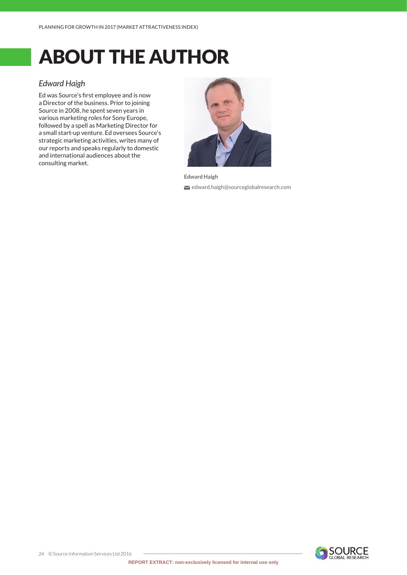# <span id="page-4-0"></span>ABOUT THE AUTHOR

#### *Edward Haigh*

Ed was Source's first employee and is now a Director of the business. Prior to joining Source in 2008, he spent seven years in various marketing roles for Sony Europe, followed by a spell as Marketing Director for a small start-up venture. Ed oversees Source's strategic marketing activities, writes many of our reports and speaks regularly to domestic and international audiences about the consulting market.



**Edward Haigh**

edward.haigh@sourceglobalresearch.com

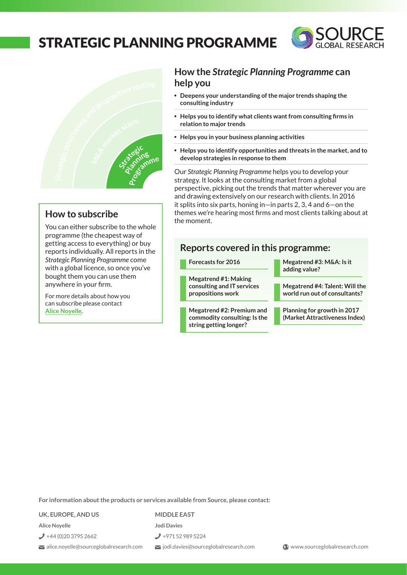### <span id="page-5-0"></span>STRATEGIC PLANNING PROGRAMME

**Client**

**C**





## **ra**

You can either subscribe to the whole programme (the cheapest way of **e**getting access to everything) or buy **t**reports individually. All reports in the *Strategic Planning Programme* come with a global licence, so once you've **a**bought them you can use them pougnt them you can use<br>anywhere in your firm. **Programme Perception rmppepc**<br>**c** cheapest way of<br>**p** everything) or buy<br>**p** ally. All reports in the<br>**g** Programme come can either subscribe to the wh<br>ramme (the cheapest way of<br>ng access to everything) or bu<br>rts individually. All reports in t<br>egic Planning Programme come<br>a global licence, so once you'v<br>tht them you can use them<br>where in yo **<sup>n</sup>sshow to subscribe**<br>*s* can either subscribe to the whologramme (the cheapest way of<br>ting access to everything) or buy<br>orts individually. All reports in the<br>*ttegic Planning Programme* come

For more details about how you can subscribe please contact **[Alice Noyelle](Mailto:alice.noyelle@sourceglobalresearch.com)**.

### **How the** *Strategic Planning Programme* **can help you**

- **Deepens your understanding of the major trends shaping the consulting industry**
- **Helps you to identify what clients want from consulting firms in relation to major trends**
- **Helps you in your business planning activities**
- **Helps you to identify opportunities and threats in the market, and to develop strategies in response to them<br>
Our** *Strategic Planning Programme* **belps you to develop your develop strategies in response to them**<br> **Mur** Strategic Planning Programme belo **h**<br>**r**<br>**e**<br>**l**<br>**e**<br>**l**<br>**e**<br>**develop strategies**<br>**e COMPTER SOLUTE:**<br>
Deepens your understanding of<br>
consulting industry<br>
Helps you to identify what client<br>
relation to major trends<br>
Helps you in your business plant<br>
Helps you to identify opportunit<br>
develop strategies in **<sup>r</sup>keCpeto<sup>a</sup> <sup>a</sup>nmk<sup>r</sup>t<sup>i</sup><sup>o</sup>**

**r**<br>
Our *Strategic Planning Programme helps you to develop your<br>
strategy. It looks at the consulting market from a global* strategy. It looks at the consulting market from a global **l** perspective, picking out the trends that matter wherever you are and drawing extensively on our research with clients. In 2016 it splits into six parts, honing in—in parts 2, 3, 4 and 6—on the It spits little six parts, normig in the parts 2, 3, 4 and 0 ton the<br>themes we're hearing most firms and most clients talking about at<br>the moment. the moment.<br>**fhe moment**. **n** emes we're hearin<br>e moment.<br>Reports cove Primes were riearing most in the moment.<br>
Reports covered in the Forecasts for 2016<br>
Megatrend #1: Making<br>
consulting and IT services<br>
propositions work we re nearli<br>ment.<br>**Orts cov** 

# **Reports covered in this programme: fts covered in 1**<br>asts for 2016<br>trend #1: Making<br>ulting and IT services

**Forecasts for 2016**

**Megatrend #1: Making consulting and IT services propositions work**

**Megatrend #2: Premium and commodity consulting: Is the string getting longer?**

**Megatrend #3: M&A: Is it adding value?**

> **Megatrend #4: Talent: Will the world run out of consultants?**

**Planning for growth in 2017 (Market Attractiveness Index)**

**For information about the products or services available from Source, please contact:**

**UK, EUROPE, AND US**

 $\bigcup$  +44 (0)20 3795 2662

alice.noyelle@sourceglobalresearch.com

**Alice Noyelle**

**MIDDLE EAST**

**Jodi Davies**

+971 52 989 5224

jodi.davies@sourceglobalresearch.com